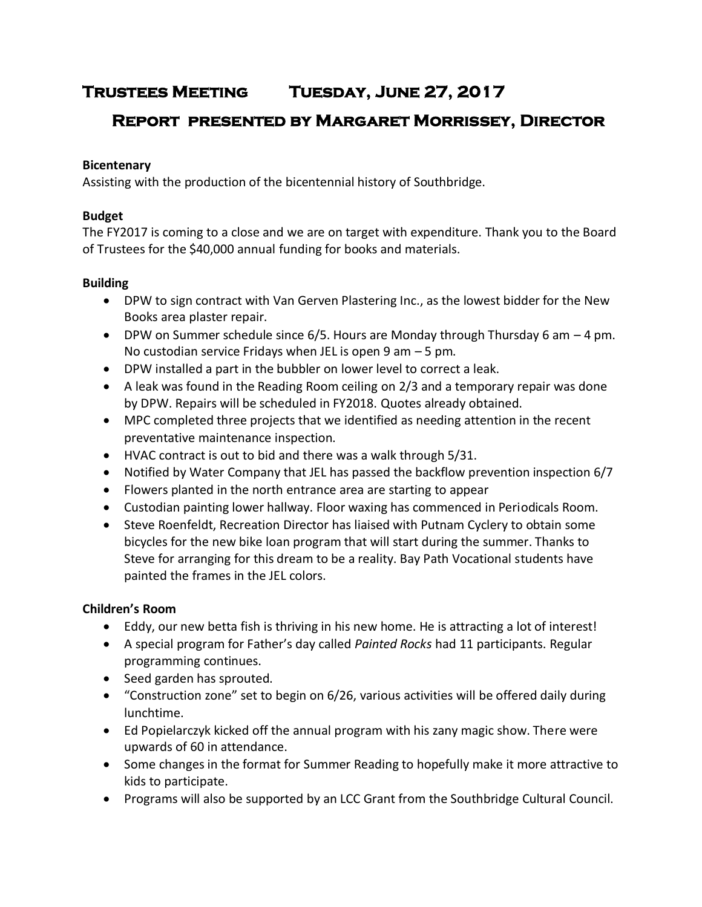# **Trustees Meeting Tuesday, June 27, 2017**

# **Report presented by Margaret Morrissey, Director**

## **Bicentenary**

Assisting with the production of the bicentennial history of Southbridge.

# **Budget**

The FY2017 is coming to a close and we are on target with expenditure. Thank you to the Board of Trustees for the \$40,000 annual funding for books and materials.

# **Building**

- DPW to sign contract with Van Gerven Plastering Inc., as the lowest bidder for the New Books area plaster repair.
- DPW on Summer schedule since  $6/5$ . Hours are Monday through Thursday 6 am  $-4$  pm. No custodian service Fridays when JEL is open 9 am – 5 pm.
- DPW installed a part in the bubbler on lower level to correct a leak.
- A leak was found in the Reading Room ceiling on 2/3 and a temporary repair was done by DPW. Repairs will be scheduled in FY2018. Quotes already obtained.
- MPC completed three projects that we identified as needing attention in the recent preventative maintenance inspection.
- HVAC contract is out to bid and there was a walk through 5/31.
- Notified by Water Company that JEL has passed the backflow prevention inspection 6/7
- Flowers planted in the north entrance area are starting to appear
- Custodian painting lower hallway. Floor waxing has commenced in Periodicals Room.
- Steve Roenfeldt, Recreation Director has liaised with Putnam Cyclery to obtain some bicycles for the new bike loan program that will start during the summer. Thanks to Steve for arranging for this dream to be a reality. Bay Path Vocational students have painted the frames in the JEL colors.

# **Children's Room**

- Eddy, our new betta fish is thriving in his new home. He is attracting a lot of interest!
- A special program for Father's day called *Painted Rocks* had 11 participants. Regular programming continues.
- Seed garden has sprouted.
- "Construction zone" set to begin on 6/26, various activities will be offered daily during lunchtime.
- Ed Popielarczyk kicked off the annual program with his zany magic show. There were upwards of 60 in attendance.
- Some changes in the format for Summer Reading to hopefully make it more attractive to kids to participate.
- Programs will also be supported by an LCC Grant from the Southbridge Cultural Council.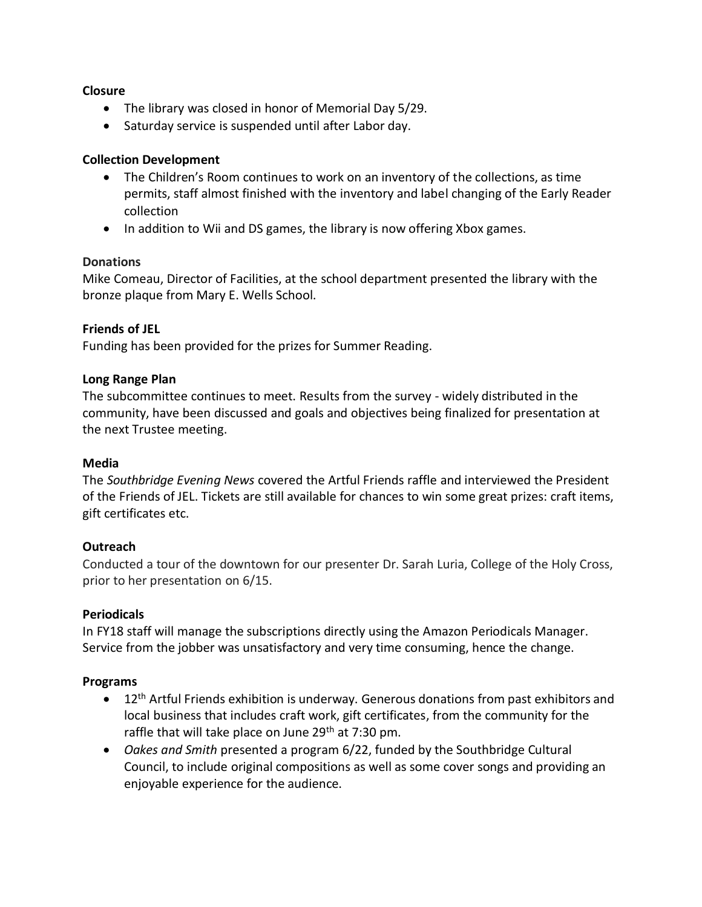#### **Closure**

- The library was closed in honor of Memorial Day 5/29.
- Saturday service is suspended until after Labor day.

## **Collection Development**

- The Children's Room continues to work on an inventory of the collections, as time permits, staff almost finished with the inventory and label changing of the Early Reader collection
- In addition to Wii and DS games, the library is now offering Xbox games.

## **Donations**

Mike Comeau, Director of Facilities, at the school department presented the library with the bronze plaque from Mary E. Wells School.

## **Friends of JEL**

Funding has been provided for the prizes for Summer Reading.

#### **Long Range Plan**

The subcommittee continues to meet. Results from the survey - widely distributed in the community, have been discussed and goals and objectives being finalized for presentation at the next Trustee meeting.

#### **Media**

The *Southbridge Evening News* covered the Artful Friends raffle and interviewed the President of the Friends of JEL. Tickets are still available for chances to win some great prizes: craft items, gift certificates etc.

## **Outreach**

Conducted a tour of the downtown for our presenter Dr. Sarah Luria, College of the Holy Cross, prior to her presentation on 6/15.

#### **Periodicals**

In FY18 staff will manage the subscriptions directly using the Amazon Periodicals Manager. Service from the jobber was unsatisfactory and very time consuming, hence the change.

#### **Programs**

- 12<sup>th</sup> Artful Friends exhibition is underway. Generous donations from past exhibitors and local business that includes craft work, gift certificates, from the community for the raffle that will take place on June 29<sup>th</sup> at 7:30 pm.
- *Oakes and Smith* presented a program 6/22, funded by the Southbridge Cultural Council, to include original compositions as well as some cover songs and providing an enjoyable experience for the audience.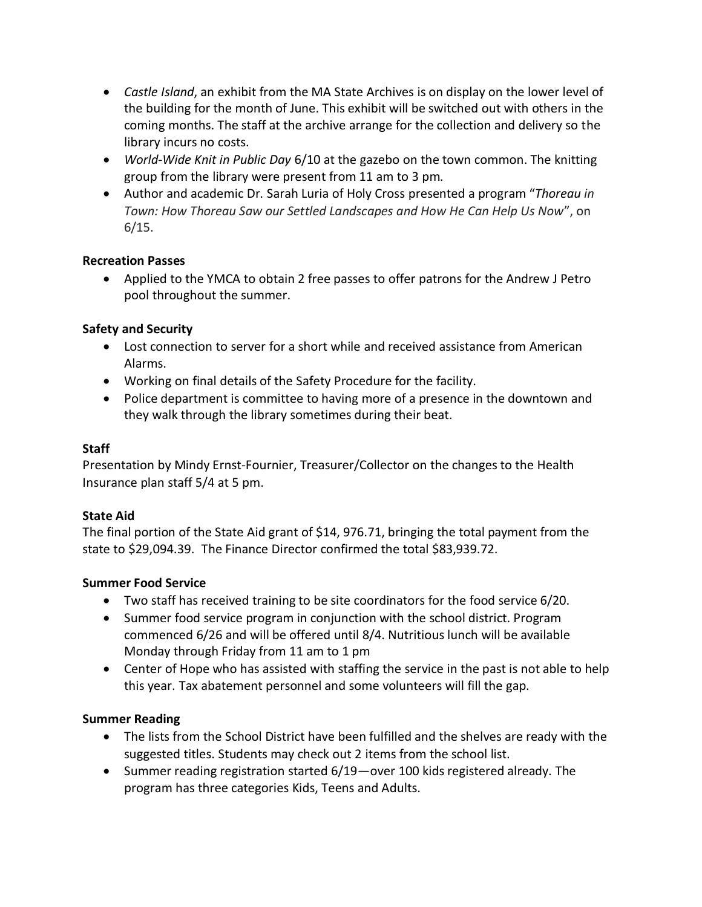- *Castle Island*, an exhibit from the MA State Archives is on display on the lower level of the building for the month of June. This exhibit will be switched out with others in the coming months. The staff at the archive arrange for the collection and delivery so the library incurs no costs.
- *World-Wide Knit in Public Day* 6/10 at the gazebo on the town common. The knitting group from the library were present from 11 am to 3 pm.
- Author and academic Dr. Sarah Luria of Holy Cross presented a program "*Thoreau in Town: How Thoreau Saw our Settled Landscapes and How He Can Help Us Now*", on  $6/15.$

## **Recreation Passes**

 Applied to the YMCA to obtain 2 free passes to offer patrons for the Andrew J Petro pool throughout the summer.

# **Safety and Security**

- Lost connection to server for a short while and received assistance from American Alarms.
- Working on final details of the Safety Procedure for the facility.
- Police department is committee to having more of a presence in the downtown and they walk through the library sometimes during their beat.

# **Staff**

Presentation by Mindy Ernst-Fournier, Treasurer/Collector on the changes to the Health Insurance plan staff 5/4 at 5 pm.

## **State Aid**

The final portion of the State Aid grant of \$14, 976.71, bringing the total payment from the state to \$29,094.39. The Finance Director confirmed the total \$83,939.72.

## **Summer Food Service**

- Two staff has received training to be site coordinators for the food service 6/20.
- Summer food service program in conjunction with the school district. Program commenced 6/26 and will be offered until 8/4. Nutritious lunch will be available Monday through Friday from 11 am to 1 pm
- Center of Hope who has assisted with staffing the service in the past is not able to help this year. Tax abatement personnel and some volunteers will fill the gap.

## **Summer Reading**

- The lists from the School District have been fulfilled and the shelves are ready with the suggested titles. Students may check out 2 items from the school list.
- Summer reading registration started 6/19—over 100 kids registered already. The program has three categories Kids, Teens and Adults.